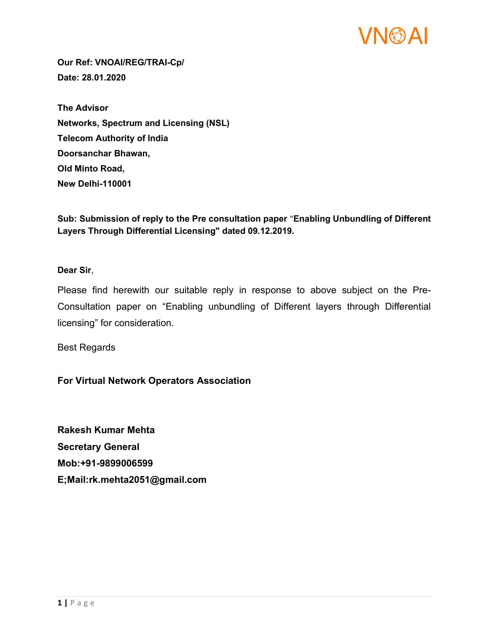

Our Ref: VNOAI/REG/TRAI-Cp/ Date: 28.01.2020

The Advisor Networks, Spectrum and Licensing (NSL) Telecom Authority of India Doorsanchar Bhawan, Old Minto Road, New Delhi-110001

Sub: Submission of reply to the Pre consultation paper "Enabling Unbundling of Different Layers Through Differential Licensing" dated 09.12.2019.

Dear Sir,

Please find herewith our suitable reply in response to above subject on the Pre-Consultation paper on "Enabling unbundling of Different layers through Differential licensing" for consideration.

Best Regards

For Virtual Network Operators Association

Rakesh Kumar Mehta Secretary General Mob:+91-9899006599 E;Mail:rk.mehta2051@gmail.com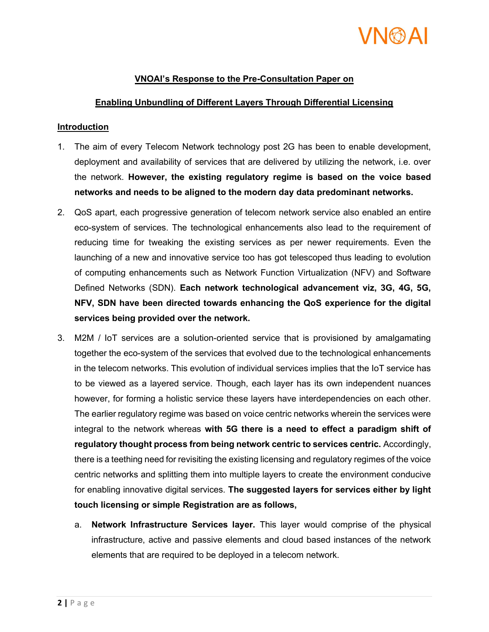

# VNOAI's Response to the Pre-Consultation Paper on

#### Enabling Unbundling of Different Layers Through Differential Licensing

#### **Introduction**

- 1. The aim of every Telecom Network technology post 2G has been to enable development, deployment and availability of services that are delivered by utilizing the network, i.e. over the network. However, the existing regulatory regime is based on the voice based networks and needs to be aligned to the modern day data predominant networks.
- 2. QoS apart, each progressive generation of telecom network service also enabled an entire eco-system of services. The technological enhancements also lead to the requirement of reducing time for tweaking the existing services as per newer requirements. Even the launching of a new and innovative service too has got telescoped thus leading to evolution of computing enhancements such as Network Function Virtualization (NFV) and Software Defined Networks (SDN). Each network technological advancement viz, 3G, 4G, 5G, NFV, SDN have been directed towards enhancing the QoS experience for the digital services being provided over the network.
- 3. M2M / IoT services are a solution-oriented service that is provisioned by amalgamating together the eco-system of the services that evolved due to the technological enhancements in the telecom networks. This evolution of individual services implies that the IoT service has to be viewed as a layered service. Though, each layer has its own independent nuances however, for forming a holistic service these layers have interdependencies on each other. The earlier regulatory regime was based on voice centric networks wherein the services were integral to the network whereas with 5G there is a need to effect a paradigm shift of regulatory thought process from being network centric to services centric. Accordingly, there is a teething need for revisiting the existing licensing and regulatory regimes of the voice centric networks and splitting them into multiple layers to create the environment conducive for enabling innovative digital services. The suggested layers for services either by light touch licensing or simple Registration are as follows,
	- a. Network Infrastructure Services layer. This layer would comprise of the physical infrastructure, active and passive elements and cloud based instances of the network elements that are required to be deployed in a telecom network.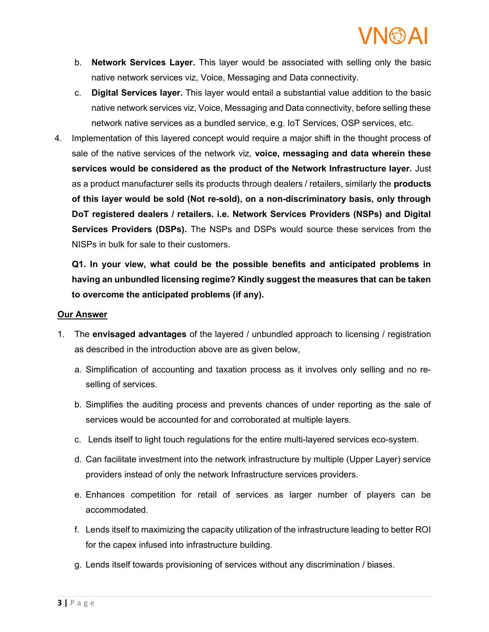# VNGSAI

- b. Network Services Layer. This layer would be associated with selling only the basic native network services viz, Voice, Messaging and Data connectivity.
- c. Digital Services layer. This layer would entail a substantial value addition to the basic native network services viz, Voice, Messaging and Data connectivity, before selling these network native services as a bundled service, e.g. IoT Services, OSP services, etc.
- 4. Implementation of this layered concept would require a major shift in the thought process of sale of the native services of the network viz, voice, messaging and data wherein these services would be considered as the product of the Network Infrastructure layer. Just as a product manufacturer sells its products through dealers / retailers, similarly the **products** of this layer would be sold (Not re-sold), on a non-discriminatory basis, only through DoT registered dealers / retailers. i.e. Network Services Providers (NSPs) and Digital Services Providers (DSPs). The NSPs and DSPs would source these services from the NISPs in bulk for sale to their customers.

Q1. In your view, what could be the possible benefits and anticipated problems in having an unbundled licensing regime? Kindly suggest the measures that can be taken to overcome the anticipated problems (if any).

#### Our Answer

- 1. The envisaged advantages of the layered / unbundled approach to licensing / registration as described in the introduction above are as given below,
	- a. Simplification of accounting and taxation process as it involves only selling and no reselling of services.
	- b. Simplifies the auditing process and prevents chances of under reporting as the sale of services would be accounted for and corroborated at multiple layers.
	- c. Lends itself to light touch regulations for the entire multi-layered services eco-system.
	- d. Can facilitate investment into the network infrastructure by multiple (Upper Layer) service providers instead of only the network Infrastructure services providers.
	- e. Enhances competition for retail of services as larger number of players can be accommodated.
	- f. Lends itself to maximizing the capacity utilization of the infrastructure leading to better ROI for the capex infused into infrastructure building.
	- g. Lends itself towards provisioning of services without any discrimination / biases.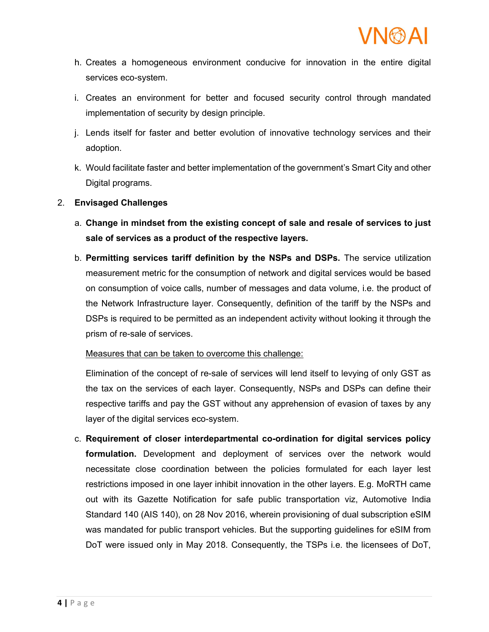- h. Creates a homogeneous environment conducive for innovation in the entire digital services eco-system.
- i. Creates an environment for better and focused security control through mandated implementation of security by design principle.
- j. Lends itself for faster and better evolution of innovative technology services and their adoption.
- k. Would facilitate faster and better implementation of the government's Smart City and other Digital programs.

# 2. Envisaged Challenges

- a. Change in mindset from the existing concept of sale and resale of services to just sale of services as a product of the respective layers.
- b. Permitting services tariff definition by the NSPs and DSPs. The service utilization measurement metric for the consumption of network and digital services would be based on consumption of voice calls, number of messages and data volume, i.e. the product of the Network Infrastructure layer. Consequently, definition of the tariff by the NSPs and DSPs is required to be permitted as an independent activity without looking it through the prism of re-sale of services.

Measures that can be taken to overcome this challenge:

Elimination of the concept of re-sale of services will lend itself to levying of only GST as the tax on the services of each layer. Consequently, NSPs and DSPs can define their respective tariffs and pay the GST without any apprehension of evasion of taxes by any layer of the digital services eco-system.

c. Requirement of closer interdepartmental co-ordination for digital services policy formulation. Development and deployment of services over the network would necessitate close coordination between the policies formulated for each layer lest restrictions imposed in one layer inhibit innovation in the other layers. E.g. MoRTH came out with its Gazette Notification for safe public transportation viz, Automotive India Standard 140 (AIS 140), on 28 Nov 2016, wherein provisioning of dual subscription eSIM was mandated for public transport vehicles. But the supporting guidelines for eSIM from DoT were issued only in May 2018. Consequently, the TSPs i.e. the licensees of DoT,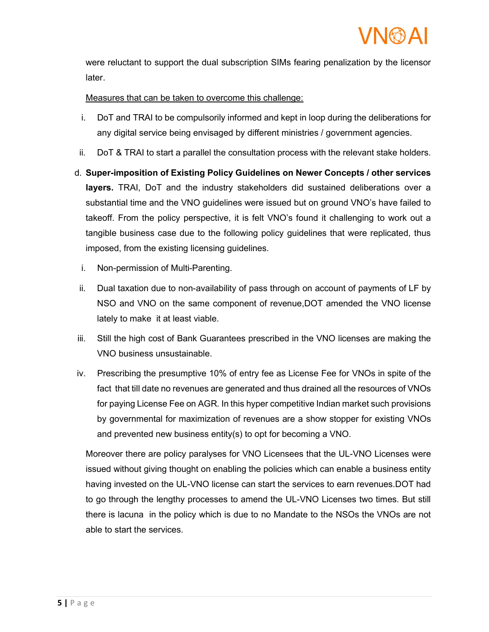

were reluctant to support the dual subscription SIMs fearing penalization by the licensor later.

### Measures that can be taken to overcome this challenge:

- i. DoT and TRAI to be compulsorily informed and kept in loop during the deliberations for any digital service being envisaged by different ministries / government agencies.
- ii. DoT & TRAI to start a parallel the consultation process with the relevant stake holders.
- d. Super-imposition of Existing Policy Guidelines on Newer Concepts / other services layers. TRAI, DoT and the industry stakeholders did sustained deliberations over a substantial time and the VNO guidelines were issued but on ground VNO's have failed to takeoff. From the policy perspective, it is felt VNO's found it challenging to work out a tangible business case due to the following policy guidelines that were replicated, thus imposed, from the existing licensing guidelines.
	- i. Non-permission of Multi-Parenting.
- ii. Dual taxation due to non-availability of pass through on account of payments of LF by NSO and VNO on the same component of revenue,DOT amended the VNO license lately to make it at least viable.
- iii. Still the high cost of Bank Guarantees prescribed in the VNO licenses are making the VNO business unsustainable.
- iv. Prescribing the presumptive 10% of entry fee as License Fee for VNOs in spite of the fact that till date no revenues are generated and thus drained all the resources of VNOs for paying License Fee on AGR. In this hyper competitive Indian market such provisions by governmental for maximization of revenues are a show stopper for existing VNOs and prevented new business entity(s) to opt for becoming a VNO.

Moreover there are policy paralyses for VNO Licensees that the UL-VNO Licenses were issued without giving thought on enabling the policies which can enable a business entity having invested on the UL-VNO license can start the services to earn revenues.DOT had to go through the lengthy processes to amend the UL-VNO Licenses two times. But still there is lacuna in the policy which is due to no Mandate to the NSOs the VNOs are not able to start the services.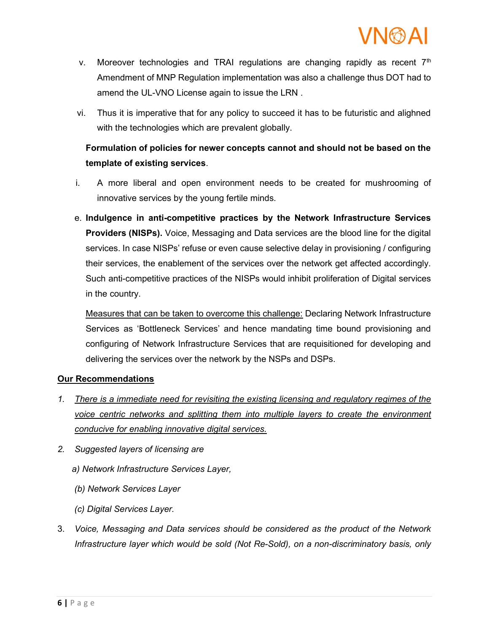

- v. Moreover technologies and TRAI regulations are changing rapidly as recent  $7<sup>th</sup>$ Amendment of MNP Regulation implementation was also a challenge thus DOT had to amend the UL-VNO License again to issue the LRN .
- vi. Thus it is imperative that for any policy to succeed it has to be futuristic and alighned with the technologies which are prevalent globally.

# Formulation of policies for newer concepts cannot and should not be based on the template of existing services.

- i. A more liberal and open environment needs to be created for mushrooming of innovative services by the young fertile minds.
- e. Indulgence in anti-competitive practices by the Network Infrastructure Services Providers (NISPs). Voice, Messaging and Data services are the blood line for the digital services. In case NISPs' refuse or even cause selective delay in provisioning / configuring their services, the enablement of the services over the network get affected accordingly. Such anti-competitive practices of the NISPs would inhibit proliferation of Digital services in the country.

Measures that can be taken to overcome this challenge: Declaring Network Infrastructure Services as 'Bottleneck Services' and hence mandating time bound provisioning and configuring of Network Infrastructure Services that are requisitioned for developing and delivering the services over the network by the NSPs and DSPs.

### Our Recommendations

- 1. There is a immediate need for revisiting the existing licensing and regulatory regimes of the voice centric networks and splitting them into multiple layers to create the environment conducive for enabling innovative digital services.
- 2. Suggested layers of licensing are
	- a) Network Infrastructure Services Layer,
	- (b) Network Services Layer
	- (c) Digital Services Layer.
- 3. Voice, Messaging and Data services should be considered as the product of the Network Infrastructure layer which would be sold (Not Re-Sold), on a non-discriminatory basis, only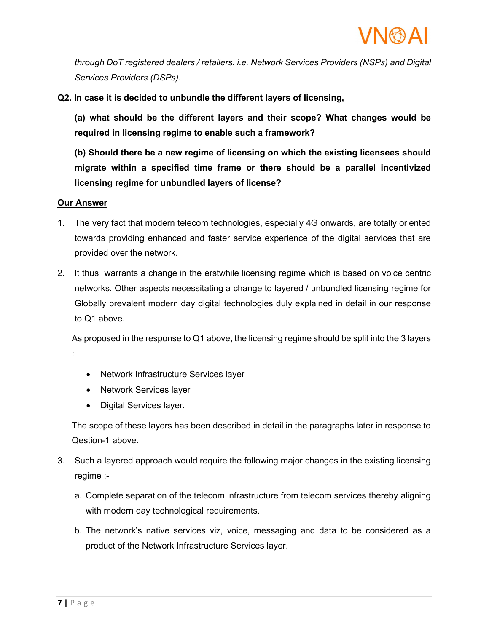

through DoT registered dealers / retailers. i.e. Network Services Providers (NSPs) and Digital Services Providers (DSPs).

Q2. In case it is decided to unbundle the different layers of licensing,

(a) what should be the different layers and their scope? What changes would be required in licensing regime to enable such a framework?

(b) Should there be a new regime of licensing on which the existing licensees should migrate within a specified time frame or there should be a parallel incentivized licensing regime for unbundled layers of license?

#### Our Answer

- 1. The very fact that modern telecom technologies, especially 4G onwards, are totally oriented towards providing enhanced and faster service experience of the digital services that are provided over the network.
- 2. It thus warrants a change in the erstwhile licensing regime which is based on voice centric networks. Other aspects necessitating a change to layered / unbundled licensing regime for Globally prevalent modern day digital technologies duly explained in detail in our response to Q1 above.

As proposed in the response to Q1 above, the licensing regime should be split into the 3 layers :

- Network Infrastructure Services layer
- Network Services layer
- Digital Services layer.

The scope of these layers has been described in detail in the paragraphs later in response to Qestion-1 above.

- 3. Such a layered approach would require the following major changes in the existing licensing regime :
	- a. Complete separation of the telecom infrastructure from telecom services thereby aligning with modern day technological requirements.
	- b. The network's native services viz, voice, messaging and data to be considered as a product of the Network Infrastructure Services layer.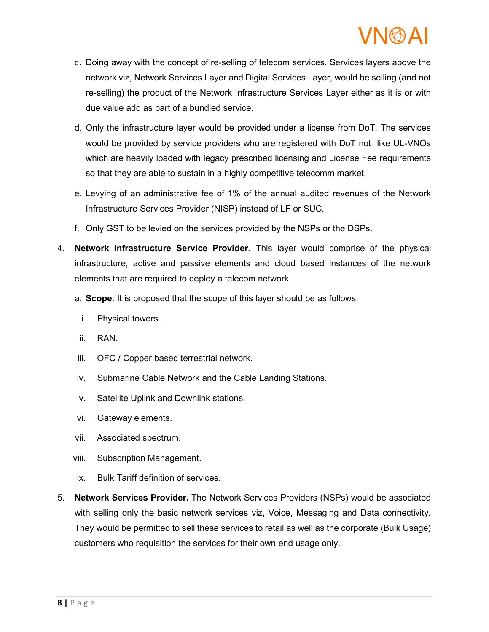# **VNMAI**

- c. Doing away with the concept of re-selling of telecom services. Services layers above the network viz, Network Services Layer and Digital Services Layer, would be selling (and not re-selling) the product of the Network Infrastructure Services Layer either as it is or with due value add as part of a bundled service.
- d. Only the infrastructure layer would be provided under a license from DoT. The services would be provided by service providers who are registered with DoT not like UL-VNOs which are heavily loaded with legacy prescribed licensing and License Fee requirements so that they are able to sustain in a highly competitive telecomm market.
- e. Levying of an administrative fee of 1% of the annual audited revenues of the Network Infrastructure Services Provider (NISP) instead of LF or SUC.
- f. Only GST to be levied on the services provided by the NSPs or the DSPs.
- 4. Network Infrastructure Service Provider. This layer would comprise of the physical infrastructure, active and passive elements and cloud based instances of the network elements that are required to deploy a telecom network.
	- a. Scope: It is proposed that the scope of this layer should be as follows:
		- i. Physical towers.
	- ii. RAN.
	- iii. OFC / Copper based terrestrial network.
	- iv. Submarine Cable Network and the Cable Landing Stations.
	- v. Satellite Uplink and Downlink stations.
	- vi. Gateway elements.
	- vii. Associated spectrum.
	- viii. Subscription Management.
	- ix. Bulk Tariff definition of services.
- 5. Network Services Provider. The Network Services Providers (NSPs) would be associated with selling only the basic network services viz, Voice, Messaging and Data connectivity. They would be permitted to sell these services to retail as well as the corporate (Bulk Usage) customers who requisition the services for their own end usage only.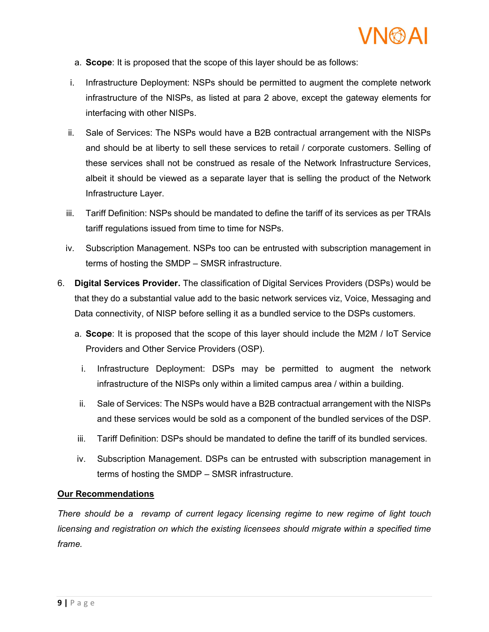

- a. Scope: It is proposed that the scope of this layer should be as follows:
- i. Infrastructure Deployment: NSPs should be permitted to augment the complete network infrastructure of the NISPs, as listed at para 2 above, except the gateway elements for interfacing with other NISPs.
- ii. Sale of Services: The NSPs would have a B2B contractual arrangement with the NISPs and should be at liberty to sell these services to retail / corporate customers. Selling of these services shall not be construed as resale of the Network Infrastructure Services, albeit it should be viewed as a separate layer that is selling the product of the Network Infrastructure Layer.
- iii. Tariff Definition: NSPs should be mandated to define the tariff of its services as per TRAIs tariff regulations issued from time to time for NSPs.
- iv. Subscription Management. NSPs too can be entrusted with subscription management in terms of hosting the SMDP – SMSR infrastructure.
- 6. Digital Services Provider. The classification of Digital Services Providers (DSPs) would be that they do a substantial value add to the basic network services viz, Voice, Messaging and Data connectivity, of NISP before selling it as a bundled service to the DSPs customers.
	- a. Scope: It is proposed that the scope of this layer should include the M2M / IoT Service Providers and Other Service Providers (OSP).
		- i. Infrastructure Deployment: DSPs may be permitted to augment the network infrastructure of the NISPs only within a limited campus area / within a building.
	- ii. Sale of Services: The NSPs would have a B2B contractual arrangement with the NISPs and these services would be sold as a component of the bundled services of the DSP.
	- iii. Tariff Definition: DSPs should be mandated to define the tariff of its bundled services.
	- iv. Subscription Management. DSPs can be entrusted with subscription management in terms of hosting the SMDP – SMSR infrastructure.

### Our Recommendations

There should be a revamp of current legacy licensing regime to new regime of light touch licensing and registration on which the existing licensees should migrate within a specified time frame.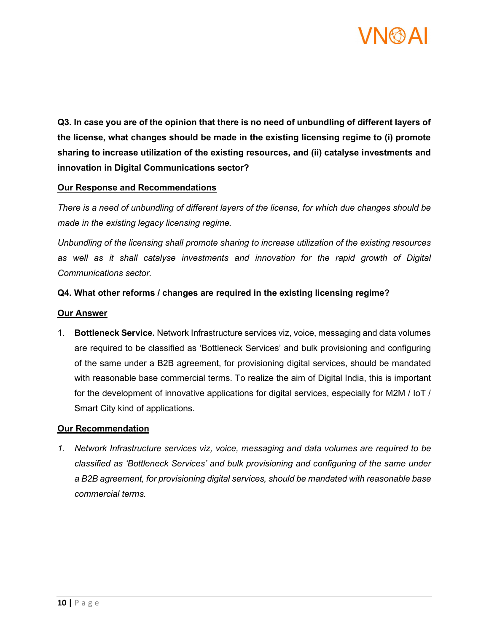

Q3. In case you are of the opinion that there is no need of unbundling of different layers of the license, what changes should be made in the existing licensing regime to (i) promote sharing to increase utilization of the existing resources, and (ii) catalyse investments and innovation in Digital Communications sector?

### Our Response and Recommendations

There is a need of unbundling of different layers of the license, for which due changes should be made in the existing legacy licensing regime.

Unbundling of the licensing shall promote sharing to increase utilization of the existing resources as well as it shall catalyse investments and innovation for the rapid growth of Digital Communications sector.

#### Q4. What other reforms / changes are required in the existing licensing regime?

#### Our Answer

1. Bottleneck Service. Network Infrastructure services viz, voice, messaging and data volumes are required to be classified as 'Bottleneck Services' and bulk provisioning and configuring of the same under a B2B agreement, for provisioning digital services, should be mandated with reasonable base commercial terms. To realize the aim of Digital India, this is important for the development of innovative applications for digital services, especially for M2M / IoT / Smart City kind of applications.

#### Our Recommendation

1. Network Infrastructure services viz, voice, messaging and data volumes are required to be classified as 'Bottleneck Services' and bulk provisioning and configuring of the same under a B2B agreement, for provisioning digital services, should be mandated with reasonable base commercial terms.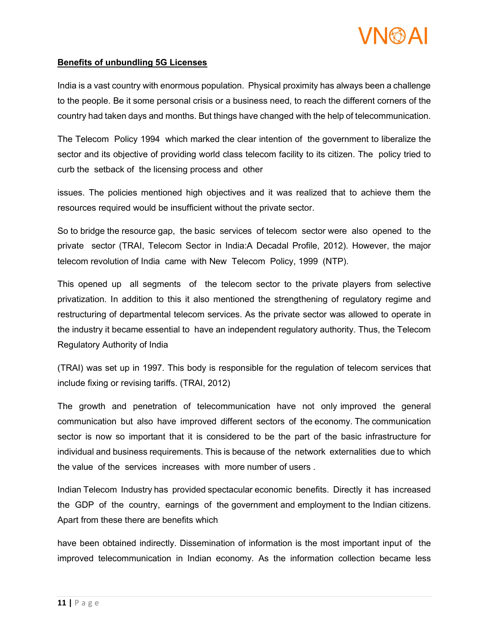

#### Benefits of unbundling 5G Licenses

India is a vast country with enormous population. Physical proximity has always been a challenge to the people. Be it some personal crisis or a business need, to reach the different corners of the country had taken days and months. But things have changed with the help of telecommunication.

The Telecom Policy 1994 which marked the clear intention of the government to liberalize the sector and its objective of providing world class telecom facility to its citizen. The policy tried to curb the setback of the licensing process and other

issues. The policies mentioned high objectives and it was realized that to achieve them the resources required would be insufficient without the private sector.

So to bridge the resource gap, the basic services of telecom sector were also opened to the private sector (TRAI, Telecom Sector in India:A Decadal Profile, 2012). However, the major telecom revolution of India came with New Telecom Policy, 1999 (NTP).

This opened up all segments of the telecom sector to the private players from selective privatization. In addition to this it also mentioned the strengthening of regulatory regime and restructuring of departmental telecom services. As the private sector was allowed to operate in the industry it became essential to have an independent regulatory authority. Thus, the Telecom Regulatory Authority of India

(TRAI) was set up in 1997. This body is responsible for the regulation of telecom services that include fixing or revising tariffs. (TRAI, 2012)

The growth and penetration of telecommunication have not only improved the general communication but also have improved different sectors of the economy. The communication sector is now so important that it is considered to be the part of the basic infrastructure for individual and business requirements. This is because of the network externalities due to which the value of the services increases with more number of users .

Indian Telecom Industry has provided spectacular economic benefits. Directly it has increased the GDP of the country, earnings of the government and employment to the Indian citizens. Apart from these there are benefits which

have been obtained indirectly. Dissemination of information is the most important input of the improved telecommunication in Indian economy. As the information collection became less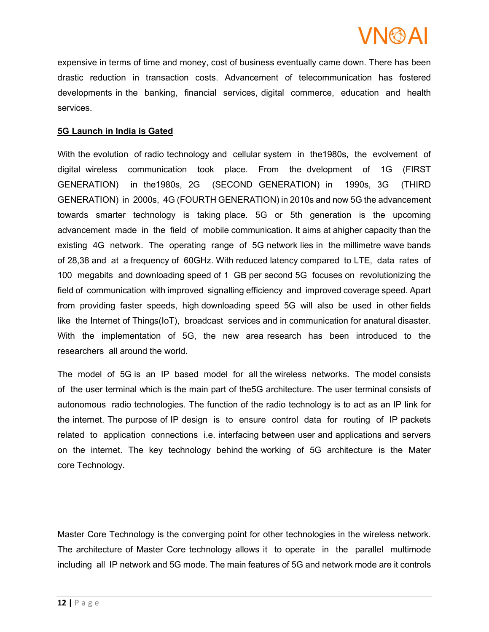

expensive in terms of time and money, cost of business eventually came down. There has been drastic reduction in transaction costs. Advancement of telecommunication has fostered developments in the banking, financial services, digital commerce, education and health services.

#### 5G Launch in India is Gated

With the evolution of radio technology and cellular system in the1980s, the evolvement of digital wireless communication took place. From the dvelopment of 1G (FIRST GENERATION) in the1980s, 2G (SECOND GENERATION) in 1990s, 3G (THIRD GENERATION) in 2000s, 4G (FOURTH GENERATION) in 2010s and now 5G the advancement towards smarter technology is taking place. 5G or 5th generation is the upcoming advancement made in the field of mobile communication. It aims at ahigher capacity than the existing 4G network. The operating range of 5G network lies in the millimetre wave bands of 28,38 and at a frequency of 60GHz. With reduced latency compared to LTE, data rates of 100 megabits and downloading speed of 1 GB per second 5G focuses on revolutionizing the field of communication with improved signalling efficiency and improved coverage speed. Apart from providing faster speeds, high downloading speed 5G will also be used in other fields like the Internet of Things(IoT), broadcast services and in communication for anatural disaster. With the implementation of 5G, the new area research has been introduced to the researchers all around the world.

The model of 5G is an IP based model for all the wireless networks. The model consists of the user terminal which is the main part of the5G architecture. The user terminal consists of autonomous radio technologies. The function of the radio technology is to act as an IP link for the internet. The purpose of IP design is to ensure control data for routing of IP packets related to application connections i.e. interfacing between user and applications and servers on the internet. The key technology behind the working of 5G architecture is the Mater core Technology.

Master Core Technology is the converging point for other technologies in the wireless network. The architecture of Master Core technology allows it to operate in the parallel multimode including all IP network and 5G mode. The main features of 5G and network mode are it controls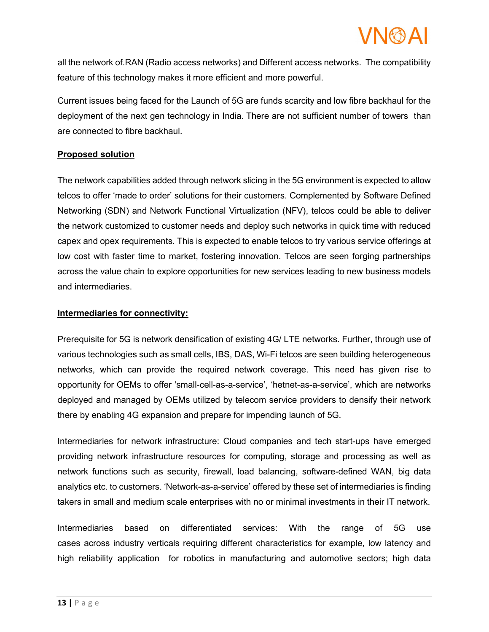

all the network of.RAN (Radio access networks) and Different access networks. The compatibility feature of this technology makes it more efficient and more powerful.

Current issues being faced for the Launch of 5G are funds scarcity and low fibre backhaul for the deployment of the next gen technology in India. There are not sufficient number of towers than are connected to fibre backhaul.

# Proposed solution

The network capabilities added through network slicing in the 5G environment is expected to allow telcos to offer 'made to order' solutions for their customers. Complemented by Software Defined Networking (SDN) and Network Functional Virtualization (NFV), telcos could be able to deliver the network customized to customer needs and deploy such networks in quick time with reduced capex and opex requirements. This is expected to enable telcos to try various service offerings at low cost with faster time to market, fostering innovation. Telcos are seen forging partnerships across the value chain to explore opportunities for new services leading to new business models and intermediaries.

#### Intermediaries for connectivity:

Prerequisite for 5G is network densification of existing 4G/ LTE networks. Further, through use of various technologies such as small cells, IBS, DAS, Wi-Fi telcos are seen building heterogeneous networks, which can provide the required network coverage. This need has given rise to opportunity for OEMs to offer 'small-cell-as-a-service', 'hetnet-as-a-service', which are networks deployed and managed by OEMs utilized by telecom service providers to densify their network there by enabling 4G expansion and prepare for impending launch of 5G.

Intermediaries for network infrastructure: Cloud companies and tech start-ups have emerged providing network infrastructure resources for computing, storage and processing as well as network functions such as security, firewall, load balancing, software-defined WAN, big data analytics etc. to customers. 'Network-as-a-service' offered by these set of intermediaries is finding takers in small and medium scale enterprises with no or minimal investments in their IT network.

Intermediaries based on differentiated services: With the range of 5G use cases across industry verticals requiring different characteristics for example, low latency and high reliability application for robotics in manufacturing and automotive sectors; high data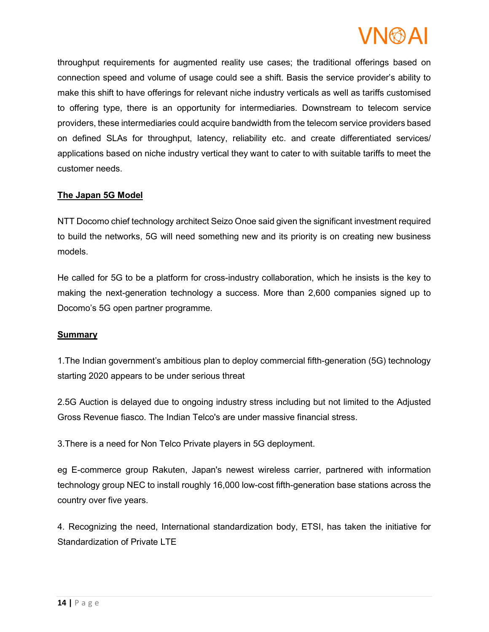# **VNMAI**

throughput requirements for augmented reality use cases; the traditional offerings based on connection speed and volume of usage could see a shift. Basis the service provider's ability to make this shift to have offerings for relevant niche industry verticals as well as tariffs customised to offering type, there is an opportunity for intermediaries. Downstream to telecom service providers, these intermediaries could acquire bandwidth from the telecom service providers based on defined SLAs for throughput, latency, reliability etc. and create differentiated services/ applications based on niche industry vertical they want to cater to with suitable tariffs to meet the customer needs.

# The Japan 5G Model

NTT Docomo chief technology architect Seizo Onoe said given the significant investment required to build the networks, 5G will need something new and its priority is on creating new business models.

He called for 5G to be a platform for cross-industry collaboration, which he insists is the key to making the next-generation technology a success. More than 2,600 companies signed up to Docomo's 5G open partner programme.

### **Summary**

1.The Indian government's ambitious plan to deploy commercial fifth-generation (5G) technology starting 2020 appears to be under serious threat

2.5G Auction is delayed due to ongoing industry stress including but not limited to the Adjusted Gross Revenue fiasco. The Indian Telco's are under massive financial stress.

3.There is a need for Non Telco Private players in 5G deployment.

eg E-commerce group Rakuten, Japan's newest wireless carrier, partnered with information technology group NEC to install roughly 16,000 low-cost fifth-generation base stations across the country over five years.

4. Recognizing the need, International standardization body, ETSI, has taken the initiative for Standardization of Private LTE